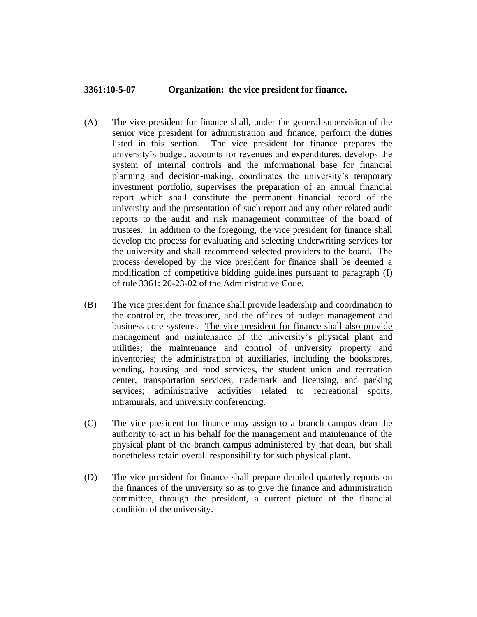## **3361:10-5-07 Organization: the vice president for finance.**

- (A) The vice president for finance shall, under the general supervision of the senior vice president for administration and finance, perform the duties listed in this section. The vice president for finance prepares the university's budget, accounts for revenues and expenditures, develops the system of internal controls and the informational base for financial planning and decision-making, coordinates the university's temporary investment portfolio, supervises the preparation of an annual financial report which shall constitute the permanent financial record of the university and the presentation of such report and any other related audit reports to the audit and risk management committee of the board of trustees. In addition to the foregoing, the vice president for finance shall develop the process for evaluating and selecting underwriting services for the university and shall recommend selected providers to the board. The process developed by the vice president for finance shall be deemed a modification of competitive bidding guidelines pursuant to paragraph (I) of rule 3361: 20-23-02 of the Administrative Code.
- (B) The vice president for finance shall provide leadership and coordination to the controller, the treasurer, and the offices of budget management and business core systems. The vice president for finance shall also provide management and maintenance of the university's physical plant and utilities; the maintenance and control of university property and inventories; the administration of auxiliaries, including the bookstores, vending, housing and food services, the student union and recreation center, transportation services, trademark and licensing, and parking services; administrative activities related to recreational sports, intramurals, and university conferencing.
- (C) The vice president for finance may assign to a branch campus dean the authority to act in his behalf for the management and maintenance of the physical plant of the branch campus administered by that dean, but shall nonetheless retain overall responsibility for such physical plant.
- (D) The vice president for finance shall prepare detailed quarterly reports on the finances of the university so as to give the finance and administration committee, through the president, a current picture of the financial condition of the university.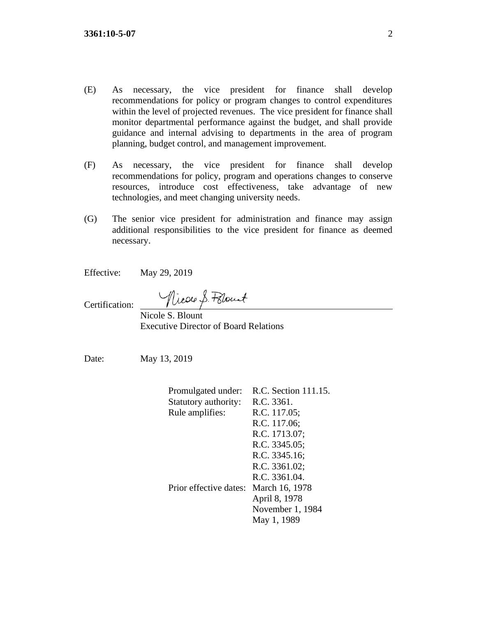- (E) As necessary, the vice president for finance shall develop recommendations for policy or program changes to control expenditures within the level of projected revenues. The vice president for finance shall monitor departmental performance against the budget, and shall provide guidance and internal advising to departments in the area of program planning, budget control, and management improvement.
- (F) As necessary, the vice president for finance shall develop recommendations for policy, program and operations changes to conserve resources, introduce cost effectiveness, take advantage of new technologies, and meet changing university needs.
- (G) The senior vice president for administration and finance may assign additional responsibilities to the vice president for finance as deemed necessary.

Effective: May 29, 2019

Certification:

Nicole S. Polout

Nicole S. Blount Executive Director of Board Relations

Date: May 13, 2019

| Promulgated under:     | R.C. Section 111.15. |
|------------------------|----------------------|
| Statutory authority:   | R.C. 3361.           |
| Rule amplifies:        | R.C. 117.05;         |
|                        | R.C. 117.06;         |
|                        | R.C. 1713.07;        |
|                        | R.C. 3345.05;        |
|                        | R.C. 3345.16;        |
|                        | R.C. 3361.02;        |
|                        | R.C. 3361.04.        |
| Prior effective dates: | March 16, 1978       |
|                        | April 8, 1978        |
|                        | November 1, 1984     |
|                        | May 1, 1989          |